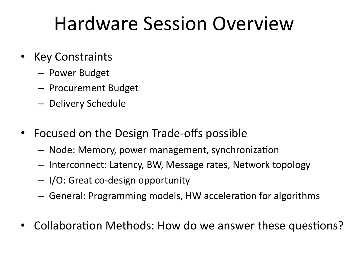# Hardware Session Overview

- **Key Constraints** 
	- Power Budget
	- Procurement Budget
	- Delivery Schedule
- Focused on the Design Trade-offs possible
	- $-$  Node: Memory, power management, synchronization
	- $-$  Interconnect: Latency, BW, Message rates, Network topology
	- I/O: Great co-design opportunity
	- $-$  General: Programming models, HW acceleration for algorithms
- Collaboration Methods: How do we answer these questions?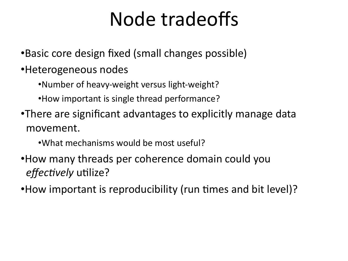# Node tradeoffs

•Basic core design fixed (small changes possible)

#### •Heterogeneous nodes

•Number of heavy-weight versus light-weight?

•How important is single thread performance?

•There are significant advantages to explicitly manage data movement.

•What mechanisms would be most useful?

•How many threads per coherence domain could you effectively utilize?

•How important is reproducibility (run times and bit level)?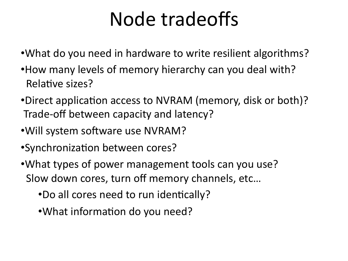# Node tradeoffs

- •What do you need in hardware to write resilient algorithms?
- •How many levels of memory hierarchy can you deal with? Relative sizes?
- •Direct application access to NVRAM (memory, disk or both)? Trade-off between capacity and latency?
- •Will system software use NVRAM?
- •Synchronization between cores?
- •What types of power management tools can you use? Slow down cores, turn off memory channels, etc...
	- •Do all cores need to run identically?
	- •What information do you need?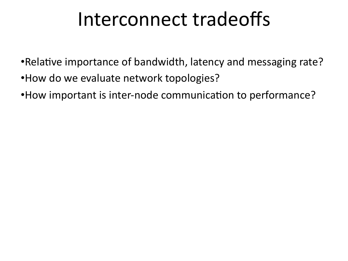### Interconnect tradeoffs

- •Relative importance of bandwidth, latency and messaging rate?
- •How do we evaluate network topologies?
- •How important is inter-node communication to performance?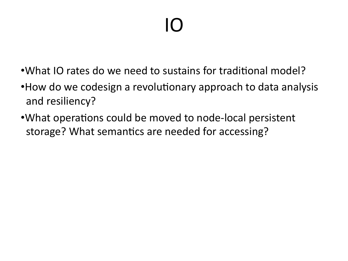# IO'

- •What IO rates do we need to sustains for traditional model?
- •How do we codesign a revolutionary approach to data analysis and resiliency?
- •What operations could be moved to node-local persistent storage? What semantics are needed for accessing?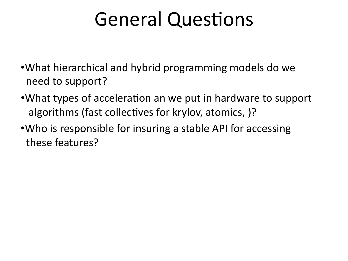# General Questions

- •What hierarchical and hybrid programming models do we need to support?
- •What types of acceleration an we put in hardware to support algorithms (fast collectives for krylov, atomics, )?
- •Who is responsible for insuring a stable API for accessing these features?